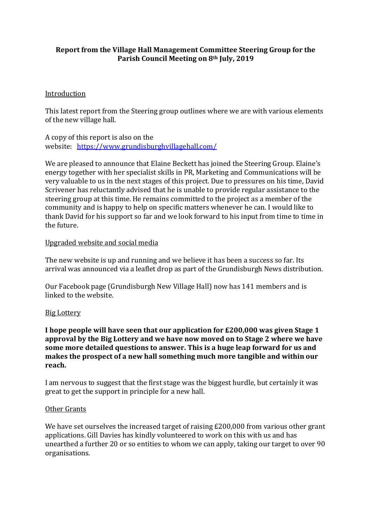# **Report from the Village Hall Management Committee Steering Group for the Parish Council Meeting on 8th July, 2019**

## Introduction

This latest report from the Steering group outlines where we are with various elements of the new village hall.

A copy of this report is also on the website: https://www.grundisburghvillagehall.com/

We are pleased to announce that Elaine Beckett has joined the Steering Group. Elaine's energy together with her specialist skills in PR, Marketing and Communications will be very valuable to us in the next stages of this project. Due to pressures on his time, David Scrivener has reluctantly advised that he is unable to provide regular assistance to the steering group at this time. He remains committed to the project as a member of the community and is happy to help on specific matters whenever he can. I would like to thank David for his support so far and we look forward to his input from time to time in the future.

#### Upgraded website and social media

The new website is up and running and we believe it has been a success so far. Its arrival was announced via a leaflet drop as part of the Grundisburgh News distribution.

Our Facebook page (Grundisburgh New Village Hall) now has 141 members and is linked to the website.

#### Big Lottery

**I** hope people will have seen that our application for £200,000 was given Stage 1 approval by the Big Lottery and we have now moved on to Stage 2 where we have some more detailed questions to answer. This is a huge leap forward for us and makes the prospect of a new hall something much more tangible and within our **reach.**

I am nervous to suggest that the first stage was the biggest hurdle, but certainly it was great to get the support in principle for a new hall.

#### Other Grants

We have set ourselves the increased target of raising  $£200,000$  from various other grant applications. Gill Davies has kindly volunteered to work on this with us and has unearthed a further 20 or so entities to whom we can apply, taking our target to over 90 organisations.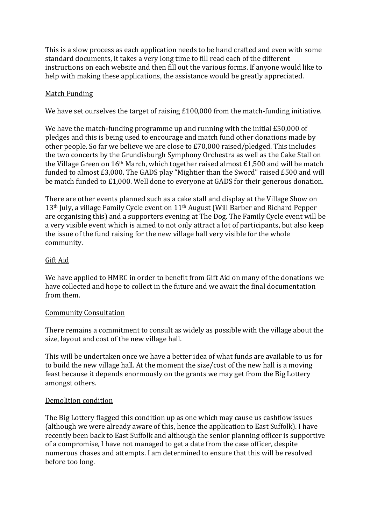This is a slow process as each application needs to be hand crafted and even with some standard documents, it takes a very long time to fill read each of the different instructions on each website and then fill out the various forms. If anyone would like to help with making these applications, the assistance would be greatly appreciated.

# Match Funding

We have set ourselves the target of raising  $£100,000$  from the match-funding initiative.

We have the match-funding programme up and running with the initial  $£50,000$  of pledges and this is being used to encourage and match fund other donations made by other people. So far we believe we are close to £70,000 raised/pledged. This includes the two concerts by the Grundisburgh Symphony Orchestra as well as the Cake Stall on the Village Green on  $16<sup>th</sup>$  March, which together raised almost £1,500 and will be match funded to almost  $£3,000$ . The GADS play "Mightier than the Sword" raised  $£500$  and will be match funded to  $£1,000$ . Well done to everyone at GADS for their generous donation.

There are other events planned such as a cake stall and display at the Village Show on  $13<sup>th</sup>$  July, a village Family Cycle event on  $11<sup>th</sup>$  August (Will Barber and Richard Pepper are organising this) and a supporters evening at The Dog. The Family Cycle event will be a very visible event which is aimed to not only attract a lot of participants, but also keep the issue of the fund raising for the new village hall very visible for the whole community.

## Gift Aid

We have applied to HMRC in order to benefit from Gift Aid on many of the donations we have collected and hope to collect in the future and we await the final documentation from them.

#### Community Consultation

There remains a commitment to consult as widely as possible with the village about the size, layout and cost of the new village hall.

This will be undertaken once we have a better idea of what funds are available to us for to build the new village hall. At the moment the size/cost of the new hall is a moving feast because it depends enormously on the grants we may get from the Big Lottery amongst others.

#### Demolition condition

The Big Lottery flagged this condition up as one which may cause us cashflow issues (although we were already aware of this, hence the application to East Suffolk). I have recently been back to East Suffolk and although the senior planning officer is supportive of a compromise, I have not managed to get a date from the case officer, despite numerous chases and attempts. I am determined to ensure that this will be resolved before too long.